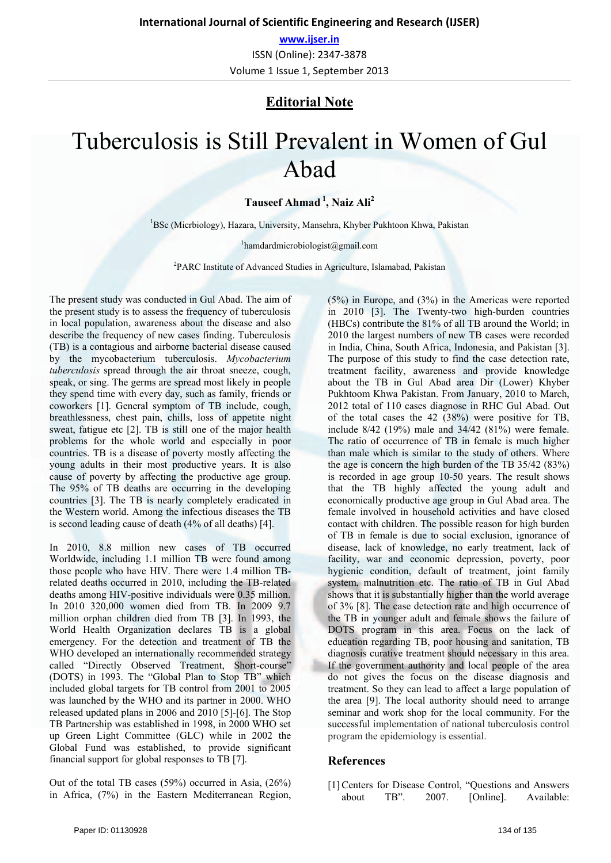**www.ijser.in** ISSN (Online): 2347‐3878 Volume 1 Issue 1, September 2013

# **Editorial Note**

# Tuberculosis is Still Prevalent in Women of Gul Abad

### **Tauseef Ahmad 1, Naiz Ali2**

<sup>1</sup>BSc (Micrbiology), Hazara, University, Mansehra, Khyber Pukhtoon Khwa, Pakistan

1 hamdardmicrobiologist@gmail.com

2 PARC Institute of Advanced Studies in Agriculture, Islamabad, Pakistan

The present study was conducted in Gul Abad. The aim of the present study is to assess the frequency of tuberculosis in local population, awareness about the disease and also describe the frequency of new cases finding. Tuberculosis (TB) is a contagious and airborne bacterial disease caused by the mycobacterium tuberculosis. *Mycobacterium tuberculosis* spread through the air throat sneeze, cough, speak, or sing. The germs are spread most likely in people they spend time with every day, such as family, friends or coworkers [1]. General symptom of TB include, cough, breathlessness, chest pain, chills, loss of appetite night sweat, fatigue etc [2]. TB is still one of the major health problems for the whole world and especially in poor countries. TB is a disease of poverty mostly affecting the young adults in their most productive years. It is also cause of poverty by affecting the productive age group. The 95% of TB deaths are occurring in the developing countries [3]. The TB is nearly completely eradicated in the Western world. Among the infectious diseases the TB is second leading cause of death (4% of all deaths) [4].

In 2010, 8.8 million new cases of TB occurred Worldwide, including 1.1 million TB were found among those people who have HIV. There were 1.4 million TBrelated deaths occurred in 2010, including the TB-related deaths among HIV-positive individuals were 0.35 million. In 2010 320,000 women died from TB. In 2009 9.7 million orphan children died from TB [3]. In 1993, the World Health Organization declares TB is a global emergency. For the detection and treatment of TB the WHO developed an internationally recommended strategy called "Directly Observed Treatment, Short-course" (DOTS) in 1993. The "Global Plan to Stop TB" which included global targets for TB control from 2001 to 2005 was launched by the WHO and its partner in 2000. WHO released updated plans in 2006 and 2010 [5]-[6]. The Stop TB Partnership was established in 1998, in 2000 WHO set up Green Light Committee (GLC) while in 2002 the Global Fund was established, to provide significant financial support for global responses to TB [7].

Out of the total TB cases (59%) occurred in Asia, (26%) in Africa, (7%) in the Eastern Mediterranean Region, (5%) in Europe, and (3%) in the Americas were reported in 2010 [3]. The Twenty-two high-burden countries (HBCs) contribute the 81% of all TB around the World; in 2010 the largest numbers of new TB cases were recorded in India, China, South Africa, Indonesia, and Pakistan [3]. The purpose of this study to find the case detection rate, treatment facility, awareness and provide knowledge about the TB in Gul Abad area Dir (Lower) Khyber Pukhtoom Khwa Pakistan. From January, 2010 to March, 2012 total of 110 cases diagnose in RHC Gul Abad. Out of the total cases the 42 (38%) were positive for TB, include 8/42 (19%) male and 34/42 (81%) were female. The ratio of occurrence of TB in female is much higher than male which is similar to the study of others. Where the age is concern the high burden of the TB 35/42 (83%) is recorded in age group 10-50 years. The result shows that the TB highly affected the young adult and economically productive age group in Gul Abad area. The female involved in household activities and have closed contact with children. The possible reason for high burden of TB in female is due to social exclusion, ignorance of disease, lack of knowledge, no early treatment, lack of facility, war and economic depression, poverty, poor hygienic condition, default of treatment, joint family system, malnutrition etc. The ratio of TB in Gul Abad shows that it is substantially higher than the world average of 3% [8]. The case detection rate and high occurrence of the TB in younger adult and female shows the failure of DOTS program in this area. Focus on the lack of education regarding TB, poor housing and sanitation, TB diagnosis curative treatment should necessary in this area. If the government authority and local people of the area do not gives the focus on the disease diagnosis and treatment. So they can lead to affect a large population of the area [9]. The local authority should need to arrange seminar and work shop for the local community. For the successful implementation of national tuberculosis control program the epidemiology is essential.

## **References**

[1] Centers for Disease Control, "Questions and Answers about TB". 2007. [Online]. Available: